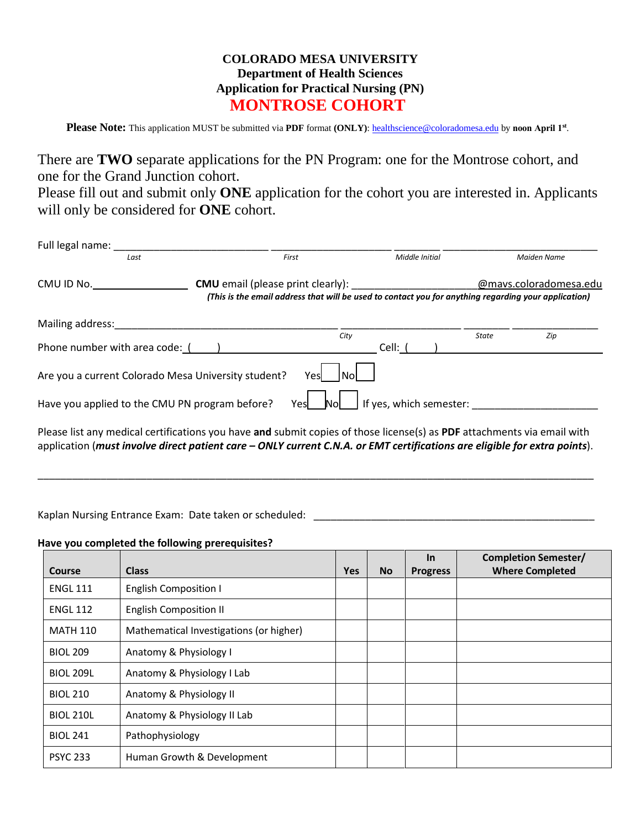## **COLORADO MESA UNIVERSITY Department of Health Sciences Application for Practical Nursing (PN) MONTROSE COHORT**

Please Note: This application MUST be submitted via PDF format (ONLY): he[althscience@coloradomesa.edu](mailto:healthscience@coloradomesa.edu) by noon April 1st.

There are **TWO** separate applications for the PN Program: one for the Montrose cohort, and one for the Grand Junction cohort.

Please fill out and submit only **ONE** application for the cohort you are interested in. Applicants will only be considered for **ONE** cohort.

| Full legal name: _                                                                                                      |  |               |                         |                                                                                                                                |             |
|-------------------------------------------------------------------------------------------------------------------------|--|---------------|-------------------------|--------------------------------------------------------------------------------------------------------------------------------|-------------|
| Last                                                                                                                    |  | First         | Middle Initial          |                                                                                                                                | Maiden Name |
| CMU ID No.                                                                                                              |  |               |                         | @mavs.coloradomesa.edu<br>(This is the email address that will be used to contact you for anything regarding your application) |             |
| Mailing address:                                                                                                        |  |               |                         |                                                                                                                                |             |
| Phone number with area code: ()                                                                                         |  | City          | Cell: (                 | State                                                                                                                          | Zip         |
| Are you a current Colorado Mesa University student?                                                                     |  | Yesl          |                         |                                                                                                                                |             |
| Have you applied to the CMU PN program before?                                                                          |  | Yesl<br>Nol . | If yes, which semester: |                                                                                                                                |             |
| Please list any medical certifications you have and submit copies of those license(s) as PDF attachments via email with |  |               |                         |                                                                                                                                |             |

l certifications you have **and** submit copies of those license(s) as **P** application (*must involve direct patient care – ONLY current C.N.A. or EMT certifications are eligible for extra points*).

\_\_\_\_\_\_\_\_\_\_\_\_\_\_\_\_\_\_\_\_\_\_\_\_\_\_\_\_\_\_\_\_\_\_\_\_\_\_\_\_\_\_\_\_\_\_\_\_\_\_\_\_\_\_\_\_\_\_\_\_\_\_\_\_\_\_\_\_\_\_\_\_\_\_\_\_\_\_\_\_\_\_\_\_\_\_\_\_\_\_\_\_\_\_\_\_\_

Kaplan Nursing Entrance Exam: Date taken or scheduled: \_\_\_\_\_\_\_\_\_\_\_\_\_\_\_\_\_\_\_\_\_\_\_\_\_

## **Have you completed the following prerequisites?**

|                  |                                         |            |           | <b>In</b>       | <b>Completion Semester/</b> |
|------------------|-----------------------------------------|------------|-----------|-----------------|-----------------------------|
| Course           | <b>Class</b>                            | <b>Yes</b> | <b>No</b> | <b>Progress</b> | <b>Where Completed</b>      |
| <b>ENGL 111</b>  | <b>English Composition I</b>            |            |           |                 |                             |
| <b>ENGL 112</b>  | <b>English Composition II</b>           |            |           |                 |                             |
| <b>MATH 110</b>  | Mathematical Investigations (or higher) |            |           |                 |                             |
| <b>BIOL 209</b>  | Anatomy & Physiology I                  |            |           |                 |                             |
| <b>BIOL 209L</b> | Anatomy & Physiology I Lab              |            |           |                 |                             |
| <b>BIOL 210</b>  | Anatomy & Physiology II                 |            |           |                 |                             |
| <b>BIOL 210L</b> | Anatomy & Physiology II Lab             |            |           |                 |                             |
| <b>BIOL 241</b>  | Pathophysiology                         |            |           |                 |                             |
| <b>PSYC 233</b>  | Human Growth & Development              |            |           |                 |                             |